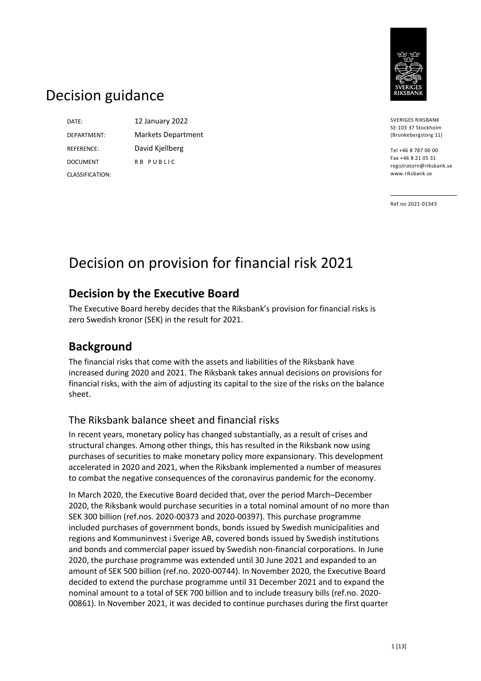

# Decision guidance

DATE: 12 January 2022 DEPARTMENT: Markets Department REFERENCE: David Kjellberg DOCUMENT CLASSIFICATION:

R B P U B L I C

SVERIGES RIKSBANK SE-103 37 Stockholm (Brunkebergstorg 11)

Tel +46 8 787 00 00 Fax +46 8 21 05 31 registratorn@riksbank.se www.riksbank.se

Ref.no 2021-01343

# Decision on provision for financial risk 2021

## **Decision by the Executive Board**

The Executive Board hereby decides that the Riksbank's provision for financial risks is zero Swedish kronor (SEK) in the result for 2021.

## **Background**

The financial risks that come with the assets and liabilities of the Riksbank have increased during 2020 and 2021. The Riksbank takes annual decisions on provisions for financial risks, with the aim of adjusting its capital to the size of the risks on the balance sheet.

### The Riksbank balance sheet and financial risks

In recent years, monetary policy has changed substantially, as a result of crises and structural changes. Among other things, this has resulted in the Riksbank now using purchases of securities to make monetary policy more expansionary. This development accelerated in 2020 and 2021, when the Riksbank implemented a number of measures to combat the negative consequences of the coronavirus pandemic for the economy.

In March 2020, the Executive Board decided that, over the period March–December 2020, the Riksbank would purchase securities in a total nominal amount of no more than SEK 300 billion (ref.nos. 2020-00373 and 2020-00397). This purchase programme included purchases of government bonds, bonds issued by Swedish municipalities and regions and Kommuninvest i Sverige AB, covered bonds issued by Swedish institutions and bonds and commercial paper issued by Swedish non-financial corporations. In June 2020, the purchase programme was extended until 30 June 2021 and expanded to an amount of SEK 500 billion (ref.no. 2020-00744). In November 2020, the Executive Board decided to extend the purchase programme until 31 December 2021 and to expand the nominal amount to a total of SEK 700 billion and to include treasury bills (ref.no. 2020- 00861). In November 2021, it was decided to continue purchases during the first quarter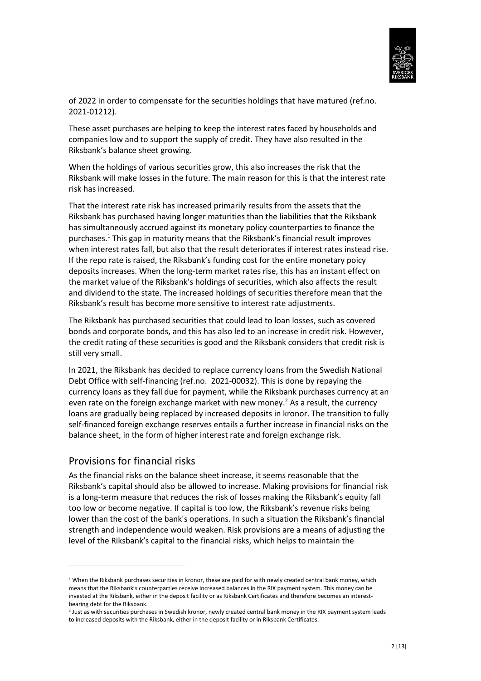

of 2022 in order to compensate for the securities holdings that have matured (ref.no. 2021-01212).

These asset purchases are helping to keep the interest rates faced by households and companies low and to support the supply of credit. They have also resulted in the Riksbank's balance sheet growing.

When the holdings of various securities grow, this also increases the risk that the Riksbank will make losses in the future. The main reason for this is that the interest rate risk has increased.

That the interest rate risk has increased primarily results from the assets that the Riksbank has purchased having longer maturities than the liabilities that the Riksbank has simultaneously accrued against its monetary policy counterparties to finance the purchases.<sup>1</sup> This gap in maturity means that the Riksbank's financial result improves when interest rates fall, but also that the result deteriorates if interest rates instead rise. If the repo rate is raised, the Riksbank's funding cost for the entire monetary poicy deposits increases. When the long-term market rates rise, this has an instant effect on the market value of the Riksbank's holdings of securities, which also affects the result and dividend to the state. The increased holdings of securities therefore mean that the Riksbank's result has become more sensitive to interest rate adjustments.

The Riksbank has purchased securities that could lead to loan losses, such as covered bonds and corporate bonds, and this has also led to an increase in credit risk. However, the credit rating of these securities is good and the Riksbank considers that credit risk is still very small.

In 2021, the Riksbank has decided to replace currency loans from the Swedish National Debt Office with self-financing (ref.no. 2021-00032). This is done by repaying the currency loans as they fall due for payment, while the Riksbank purchases currency at an even rate on the foreign exchange market with new money.<sup>2</sup> As a result, the currency loans are gradually being replaced by increased deposits in kronor. The transition to fully self-financed foreign exchange reserves entails a further increase in financial risks on the balance sheet, in the form of higher interest rate and foreign exchange risk.

#### Provisions for financial risks

**.** 

As the financial risks on the balance sheet increase, it seems reasonable that the Riksbank's capital should also be allowed to increase. Making provisions for financial risk is a long-term measure that reduces the risk of losses making the Riksbank's equity fall too low or become negative. If capital is too low, the Riksbank's revenue risks being lower than the cost of the bank's operations. In such a situation the Riksbank's financial strength and independence would weaken. Risk provisions are a means of adjusting the level of the Riksbank's capital to the financial risks, which helps to maintain the

 $1$  When the Riksbank purchases securities in kronor, these are paid for with newly created central bank money, which means that the Riksbank's counterparties receive increased balances in the RIX payment system. This money can be invested at the Riksbank, either in the deposit facility or as Riksbank Certificates and therefore becomes an interestbearing debt for the Riksbank.

<sup>2</sup> Just as with securities purchases in Swedish kronor, newly created central bank money in the RIX payment system leads to increased deposits with the Riksbank, either in the deposit facility or in Riksbank Certificates.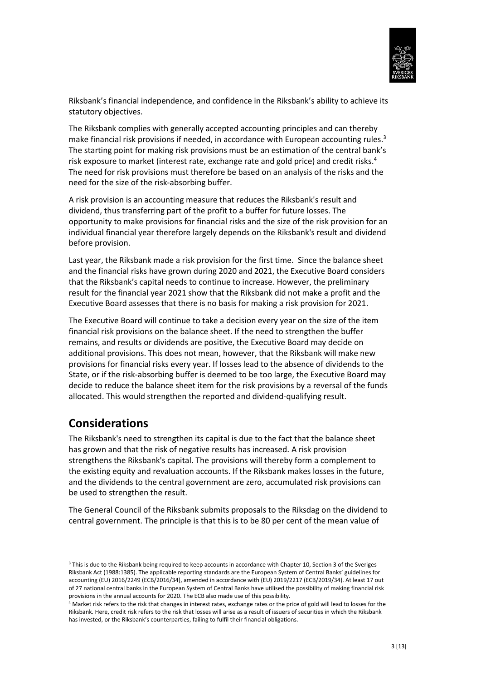

Riksbank's financial independence, and confidence in the Riksbank's ability to achieve its statutory objectives.

The Riksbank complies with generally accepted accounting principles and can thereby make financial risk provisions if needed, in accordance with European accounting rules.<sup>3</sup> The starting point for making risk provisions must be an estimation of the central bank's risk exposure to market (interest rate, exchange rate and gold price) and credit risks. 4 The need for risk provisions must therefore be based on an analysis of the risks and the need for the size of the risk-absorbing buffer.

A risk provision is an accounting measure that reduces the Riksbank's result and dividend, thus transferring part of the profit to a buffer for future losses. The opportunity to make provisions for financial risks and the size of the risk provision for an individual financial year therefore largely depends on the Riksbank's result and dividend before provision.

Last year, the Riksbank made a risk provision for the first time. Since the balance sheet and the financial risks have grown during 2020 and 2021, the Executive Board considers that the Riksbank's capital needs to continue to increase. However, the preliminary result for the financial year 2021 show that the Riksbank did not make a profit and the Executive Board assesses that there is no basis for making a risk provision for 2021.

The Executive Board will continue to take a decision every year on the size of the item financial risk provisions on the balance sheet. If the need to strengthen the buffer remains, and results or dividends are positive, the Executive Board may decide on additional provisions. This does not mean, however, that the Riksbank will make new provisions for financial risks every year. If losses lead to the absence of dividends to the State, or if the risk-absorbing buffer is deemed to be too large, the Executive Board may decide to reduce the balance sheet item for the risk provisions by a reversal of the funds allocated. This would strengthen the reported and dividend-qualifying result.

## **Considerations**

**.** 

The Riksbank's need to strengthen its capital is due to the fact that the balance sheet has grown and that the risk of negative results has increased. A risk provision strengthens the Riksbank's capital. The provisions will thereby form a complement to the existing equity and revaluation accounts. If the Riksbank makes losses in the future, and the dividends to the central government are zero, accumulated risk provisions can be used to strengthen the result.

The General Council of the Riksbank submits proposals to the Riksdag on the dividend to central government. The principle is that this is to be 80 per cent of the mean value of

<sup>&</sup>lt;sup>3</sup> This is due to the Riksbank being required to keep accounts in accordance with Chapter 10, Section 3 of the Sveriges Riksbank Act (1988:1385). The applicable reporting standards are the European System of Central Banks' guidelines for accounting (EU) 2016/2249 (ECB/2016/34), amended in accordance with (EU) 2019/2217 (ECB/2019/34). At least 17 out of 27 national central banks in the European System of Central Banks have utilised the possibility of making financial risk provisions in the annual accounts for 2020. The ECB also made use of this possibility.

<sup>4</sup> Market risk refers to the risk that changes in interest rates, exchange rates or the price of gold will lead to losses for the Riksbank. Here, credit risk refers to the risk that losses will arise as a result of issuers of securities in which the Riksbank has invested, or the Riksbank's counterparties, failing to fulfil their financial obligations.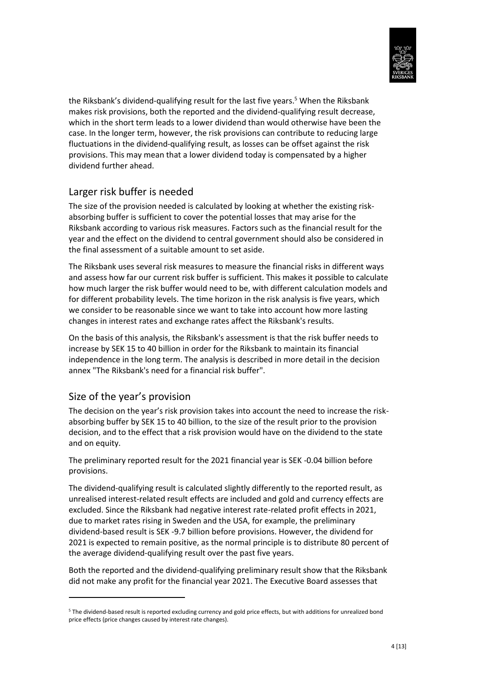

the Riksbank's dividend-qualifying result for the last five years.<sup>5</sup> When the Riksbank makes risk provisions, both the reported and the dividend-qualifying result decrease, which in the short term leads to a lower dividend than would otherwise have been the case. In the longer term, however, the risk provisions can contribute to reducing large fluctuations in the dividend-qualifying result, as losses can be offset against the risk provisions. This may mean that a lower dividend today is compensated by a higher dividend further ahead.

### Larger risk buffer is needed

The size of the provision needed is calculated by looking at whether the existing riskabsorbing buffer is sufficient to cover the potential losses that may arise for the Riksbank according to various risk measures. Factors such as the financial result for the year and the effect on the dividend to central government should also be considered in the final assessment of a suitable amount to set aside.

The Riksbank uses several risk measures to measure the financial risks in different ways and assess how far our current risk buffer is sufficient. This makes it possible to calculate how much larger the risk buffer would need to be, with different calculation models and for different probability levels. The time horizon in the risk analysis is five years, which we consider to be reasonable since we want to take into account how more lasting changes in interest rates and exchange rates affect the Riksbank's results.

On the basis of this analysis, the Riksbank's assessment is that the risk buffer needs to increase by SEK 15 to 40 billion in order for the Riksbank to maintain its financial independence in the long term. The analysis is described in more detail in the decision annex "The Riksbank's need for a financial risk buffer".

### Size of the year's provision

1

The decision on the year's risk provision takes into account the need to increase the riskabsorbing buffer by SEK 15 to 40 billion, to the size of the result prior to the provision decision, and to the effect that a risk provision would have on the dividend to the state and on equity.

The preliminary reported result for the 2021 financial year is SEK -0.04 billion before provisions.

The dividend-qualifying result is calculated slightly differently to the reported result, as unrealised interest-related result effects are included and gold and currency effects are excluded. Since the Riksbank had negative interest rate-related profit effects in 2021, due to market rates rising in Sweden and the USA, for example, the preliminary dividend-based result is SEK -9.7 billion before provisions. However, the dividend for 2021 is expected to remain positive, as the normal principle is to distribute 80 percent of the average dividend-qualifying result over the past five years.

Both the reported and the dividend-qualifying preliminary result show that the Riksbank did not make any profit for the financial year 2021. The Executive Board assesses that

<sup>5</sup> The dividend-based result is reported excluding currency and gold price effects, but with additions for unrealized bond price effects (price changes caused by interest rate changes).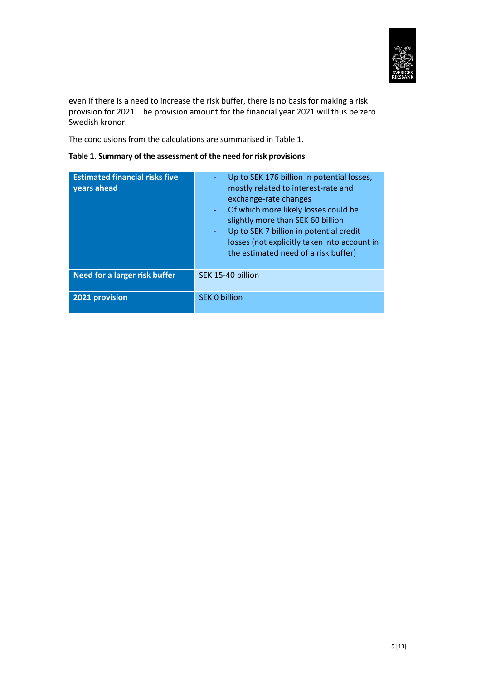

even if there is a need to increase the risk buffer, there is no basis for making a risk provision for 2021. The provision amount for the financial year 2021 will thus be zero Swedish kronor.

The conclusions from the calculations are summarised in Table 1.

#### **Table 1. Summary of the assessment of the need for risk provisions**

| <b>Estimated financial risks five</b><br>years ahead | Up to SEK 176 billion in potential losses,<br>mostly related to interest-rate and<br>exchange-rate changes<br>- Of which more likely losses could be<br>slightly more than SEK 60 billion<br>Up to SEK 7 billion in potential credit<br>÷.<br>losses (not explicitly taken into account in<br>the estimated need of a risk buffer) |
|------------------------------------------------------|------------------------------------------------------------------------------------------------------------------------------------------------------------------------------------------------------------------------------------------------------------------------------------------------------------------------------------|
| Need for a larger risk buffer                        | SEK 15-40 billion                                                                                                                                                                                                                                                                                                                  |
| 2021 provision                                       | <b>SEK 0 billion</b>                                                                                                                                                                                                                                                                                                               |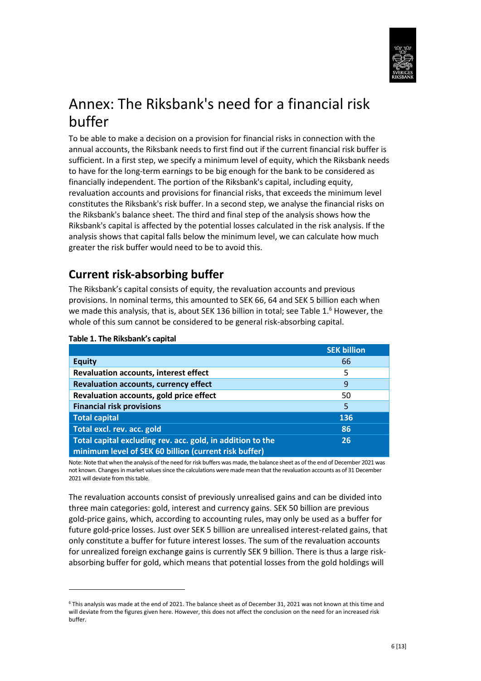

# Annex: The Riksbank's need for a financial risk buffer

To be able to make a decision on a provision for financial risks in connection with the annual accounts, the Riksbank needs to first find out if the current financial risk buffer is sufficient. In a first step, we specify a minimum level of equity, which the Riksbank needs to have for the long-term earnings to be big enough for the bank to be considered as financially independent. The portion of the Riksbank's capital, including equity, revaluation accounts and provisions for financial risks, that exceeds the minimum level constitutes the Riksbank's risk buffer. In a second step, we analyse the financial risks on the Riksbank's balance sheet. The third and final step of the analysis shows how the Riksbank's capital is affected by the potential losses calculated in the risk analysis. If the analysis shows that capital falls below the minimum level, we can calculate how much greater the risk buffer would need to be to avoid this.

## **Current risk-absorbing buffer**

The Riksbank's capital consists of equity, the revaluation accounts and previous provisions. In nominal terms, this amounted to SEK 66, 64 and SEK 5 billion each when we made this analysis, that is, about SEK 136 billion in total; see Table 1.<sup>6</sup> However, the whole of this sum cannot be considered to be general risk-absorbing capital.

|                                                            | <b>SEK billion</b> |
|------------------------------------------------------------|--------------------|
| <b>Equity</b>                                              | 66                 |
| <b>Revaluation accounts, interest effect</b>               | 5                  |
| <b>Revaluation accounts, currency effect</b>               | 9                  |
| Revaluation accounts, gold price effect                    | 50                 |
| <b>Financial risk provisions</b>                           | 5                  |
| <b>Total capital</b>                                       | 136                |
| Total excl. rev. acc. gold                                 | 86                 |
| Total capital excluding rev. acc. gold, in addition to the | 26                 |
| minimum level of SEK 60 billion (current risk buffer)      |                    |

#### **Table 1. The Riksbank's capital**

**.** 

Note: Note that when the analysis of the need for risk buffers was made, the balance sheet as of the end of December 2021 was not known. Changes in market values since the calculations were made mean that the revaluation accounts as of 31 December 2021 will deviate from this table.

The revaluation accounts consist of previously unrealised gains and can be divided into three main categories: gold, interest and currency gains. SEK 50 billion are previous gold-price gains, which, according to accounting rules, may only be used as a buffer for future gold-price losses. Just over SEK 5 billion are unrealised interest-related gains, that only constitute a buffer for future interest losses. The sum of the revaluation accounts for unrealized foreign exchange gains is currently SEK 9 billion. There is thus a large riskabsorbing buffer for gold, which means that potential losses from the gold holdings will

<sup>6</sup> This analysis was made at the end of 2021. The balance sheet as of December 31, 2021 was not known at this time and will deviate from the figures given here. However, this does not affect the conclusion on the need for an increased risk buffer.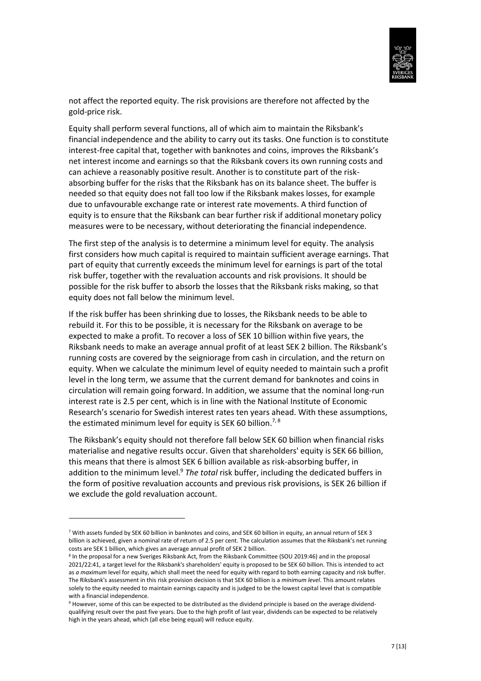

not affect the reported equity. The risk provisions are therefore not affected by the gold-price risk.

Equity shall perform several functions, all of which aim to maintain the Riksbank's financial independence and the ability to carry out its tasks. One function is to constitute interest-free capital that, together with banknotes and coins, improves the Riksbank's net interest income and earnings so that the Riksbank covers its own running costs and can achieve a reasonably positive result. Another is to constitute part of the riskabsorbing buffer for the risks that the Riksbank has on its balance sheet. The buffer is needed so that equity does not fall too low if the Riksbank makes losses, for example due to unfavourable exchange rate or interest rate movements. A third function of equity is to ensure that the Riksbank can bear further risk if additional monetary policy measures were to be necessary, without deteriorating the financial independence.

The first step of the analysis is to determine a minimum level for equity. The analysis first considers how much capital is required to maintain sufficient average earnings. That part of equity that currently exceeds the minimum level for earnings is part of the total risk buffer, together with the revaluation accounts and risk provisions. It should be possible for the risk buffer to absorb the losses that the Riksbank risks making, so that equity does not fall below the minimum level.

If the risk buffer has been shrinking due to losses, the Riksbank needs to be able to rebuild it. For this to be possible, it is necessary for the Riksbank on average to be expected to make a profit. To recover a loss of SEK 10 billion within five years, the Riksbank needs to make an average annual profit of at least SEK 2 billion. The Riksbank's running costs are covered by the seigniorage from cash in circulation, and the return on equity. When we calculate the minimum level of equity needed to maintain such a profit level in the long term, we assume that the current demand for banknotes and coins in circulation will remain going forward. In addition, we assume that the nominal long-run interest rate is 2.5 per cent, which is in line with the National Institute of Economic Research's scenario for Swedish interest rates ten years ahead. With these assumptions, the estimated minimum level for equity is SEK 60 billion.<sup>7, 8</sup>

The Riksbank's equity should not therefore fall below SEK 60 billion when financial risks materialise and negative results occur. Given that shareholders' equity is SEK 66 billion, this means that there is almost SEK 6 billion available as risk-absorbing buffer, in addition to the minimum level.<sup>9</sup> The total risk buffer, including the dedicated buffers in the form of positive revaluation accounts and previous risk provisions, is SEK 26 billion if we exclude the gold revaluation account.

**.** 

<sup>7</sup> With assets funded by SEK 60 billion in banknotes and coins, and SEK 60 billion in equity, an annual return of SEK 3 billion is achieved, given a nominal rate of return of 2.5 per cent. The calculation assumes that the Riksbank's net running costs are SEK 1 billion, which gives an average annual profit of SEK 2 billion.

<sup>&</sup>lt;sup>8</sup> In the proposal for a new Sveriges Riksbank Act, from the Riksbank Committee (SOU 2019:46) and in the proposal 2021/22:41, a target level for the Riksbank's shareholders' equity is proposed to be SEK 60 billion. This is intended to act as *a maximum* level for equity, which shall meet the need for equity with regard to both earning capacity and risk buffer. The Riksbank's assessment in this risk provision decision is that SEK 60 billion is a *minimum level*. This amount relates solely to the equity needed to maintain earnings capacity and is judged to be the lowest capital level that is compatible with a financial independence.

<sup>&</sup>lt;sup>9</sup> However, some of this can be expected to be distributed as the dividend principle is based on the average dividendqualifying result over the past five years. Due to the high profit of last year, dividends can be expected to be relatively high in the years ahead, which (all else being equal) will reduce equity.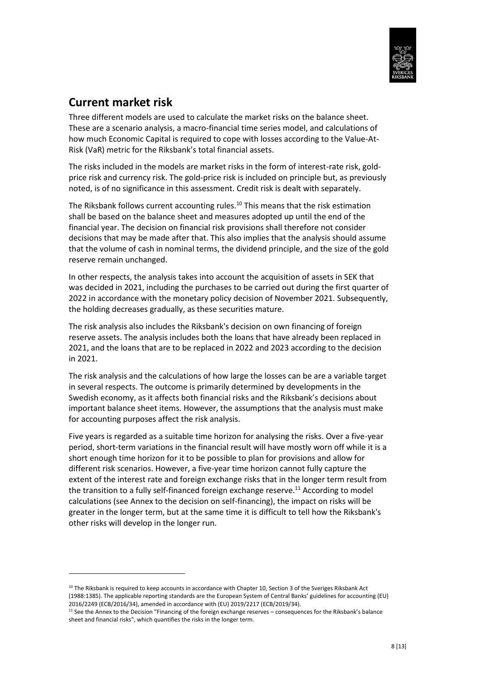

## **Current market risk**

1

Three different models are used to calculate the market risks on the balance sheet. These are a scenario analysis, a macro-financial time series model, and calculations of how much Economic Capital is required to cope with losses according to the Value-At-Risk (VaR) metric for the Riksbank's total financial assets.

The risks included in the models are market risks in the form of interest-rate risk, goldprice risk and currency risk. The gold-price risk is included on principle but, as previously noted, is of no significance in this assessment. Credit risk is dealt with separately.

The Riksbank follows current accounting rules.<sup>10</sup> This means that the risk estimation shall be based on the balance sheet and measures adopted up until the end of the financial year. The decision on financial risk provisions shall therefore not consider decisions that may be made after that. This also implies that the analysis should assume that the volume of cash in nominal terms, the dividend principle, and the size of the gold reserve remain unchanged.

In other respects, the analysis takes into account the acquisition of assets in SEK that was decided in 2021, including the purchases to be carried out during the first quarter of 2022 in accordance with the monetary policy decision of November 2021. Subsequently, the holding decreases gradually, as these securities mature.

The risk analysis also includes the Riksbank's decision on own financing of foreign reserve assets. The analysis includes both the loans that have already been replaced in 2021, and the loans that are to be replaced in 2022 and 2023 according to the decision in 2021.

The risk analysis and the calculations of how large the losses can be are a variable target in several respects. The outcome is primarily determined by developments in the Swedish economy, as it affects both financial risks and the Riksbank's decisions about important balance sheet items. However, the assumptions that the analysis must make for accounting purposes affect the risk analysis.

Five years is regarded as a suitable time horizon for analysing the risks. Over a five-year period, short-term variations in the financial result will have mostly worn off while it is a short enough time horizon for it to be possible to plan for provisions and allow for different risk scenarios. However, a five-year time horizon cannot fully capture the extent of the interest rate and foreign exchange risks that in the longer term result from the transition to a fully self-financed foreign exchange reserve.<sup>11</sup> According to model calculations (see Annex to the decision on self-financing), the impact on risks will be greater in the longer term, but at the same time it is difficult to tell how the Riksbank's other risks will develop in the longer run.

<sup>&</sup>lt;sup>10</sup> The Riksbank is required to keep accounts in accordance with Chapter 10, Section 3 of the Sveriges Riksbank Act (1988:1385). The applicable reporting standards are the European System of Central Banks' guidelines for accounting (EU) 2016/2249 (ECB/2016/34), amended in accordance with (EU) 2019/2217 (ECB/2019/34).

<sup>11</sup> See the Annex to the Decision "Financing of the foreign exchange reserves – consequences for the Riksbank's balance sheet and financial risks", which quantifies the risks in the longer term.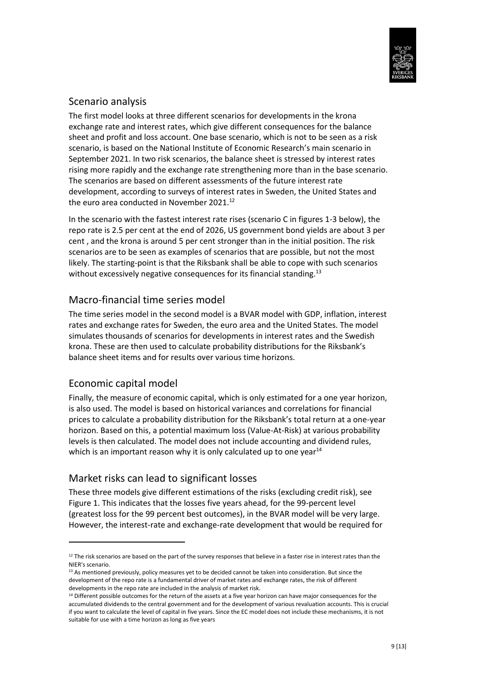

### Scenario analysis

The first model looks at three different scenarios for developments in the krona exchange rate and interest rates, which give different consequences for the balance sheet and profit and loss account. One base scenario, which is not to be seen as a risk scenario, is based on the National Institute of Economic Research's main scenario in September 2021. In two risk scenarios, the balance sheet is stressed by interest rates rising more rapidly and the exchange rate strengthening more than in the base scenario. The scenarios are based on different assessments of the future interest rate development, according to surveys of interest rates in Sweden, the United States and the euro area conducted in November 2021.<sup>12</sup>

In the scenario with the fastest interest rate rises (scenario C in figures 1-3 below), the repo rate is 2.5 per cent at the end of 2026, US government bond yields are about 3 per cent , and the krona is around 5 per cent stronger than in the initial position. The risk scenarios are to be seen as examples of scenarios that are possible, but not the most likely. The starting-point is that the Riksbank shall be able to cope with such scenarios without excessively negative consequences for its financial standing.<sup>13</sup>

### Macro-financial time series model

The time series model in the second model is a BVAR model with GDP, inflation, interest rates and exchange rates for Sweden, the euro area and the United States. The model simulates thousands of scenarios for developments in interest rates and the Swedish krona. These are then used to calculate probability distributions for the Riksbank's balance sheet items and for results over various time horizons.

### Economic capital model

**.** 

Finally, the measure of economic capital, which is only estimated for a one year horizon, is also used. The model is based on historical variances and correlations for financial prices to calculate a probability distribution for the Riksbank's total return at a one-year horizon. Based on this, a potential maximum loss (Value-At-Risk) at various probability levels is then calculated. The model does not include accounting and dividend rules, which is an important reason why it is only calculated up to one year $14$ 

### Market risks can lead to significant losses

These three models give different estimations of the risks (excluding credit risk), see Figure 1. This indicates that the losses five years ahead, for the 99-percent level (greatest loss for the 99 percent best outcomes), in the BVAR model will be very large. However, the interest-rate and exchange-rate development that would be required for

 $12$  The risk scenarios are based on the part of the survey responses that believe in a faster rise in interest rates than the NIER's scenario.

<sup>&</sup>lt;sup>13</sup> As mentioned previously, policy measures yet to be decided cannot be taken into consideration. But since the development of the repo rate is a fundamental driver of market rates and exchange rates, the risk of different developments in the repo rate are included in the analysis of market risk.

<sup>&</sup>lt;sup>14</sup> Different possible outcomes for the return of the assets at a five year horizon can have major consequences for the accumulated dividends to the central government and for the development of various revaluation accounts. This is crucial if you want to calculate the level of capital in five years. Since the EC model does not include these mechanisms, it is not suitable for use with a time horizon as long as five years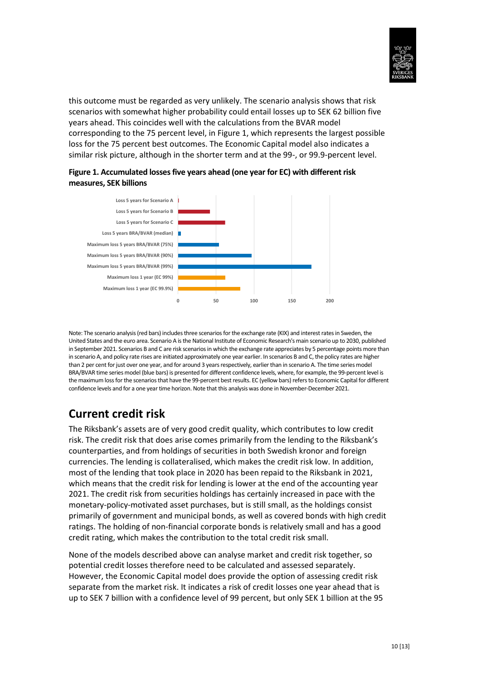

this outcome must be regarded as very unlikely. The scenario analysis shows that risk scenarios with somewhat higher probability could entail losses up to SEK 62 billion five years ahead. This coincides well with the calculations from the BVAR model corresponding to the 75 percent level, in Figure 1, which represents the largest possible loss for the 75 percent best outcomes. The Economic Capital model also indicates a similar risk picture, although in the shorter term and at the 99-, or 99.9-percent level.





Note: The scenario analysis (red bars) includes three scenarios for the exchange rate (KIX) and interest rates in Sweden, the United States and the euro area. Scenario A is the National Institute of Economic Research's main scenario up to 2030, published in September 2021. Scenarios B and C are risk scenarios in which the exchange rate appreciates by 5 percentage points more than in scenario A, and policy rate rises are initiated approximately one year earlier. In scenarios B and C, the policy rates are higher than 2 per cent for just over one year, and for around 3 years respectively, earlier than in scenario A. The time series model BRA/BVAR time series model (blue bars) is presented for different confidence levels, where, for example, the 99-percent level is the maximum loss for the scenarios that have the 99-percent best results. EC (yellow bars) refers to Economic Capital for different confidence levels and for a one year time horizon. Note that this analysis was done in November-December 2021.

## **Current credit risk**

The Riksbank's assets are of very good credit quality, which contributes to low credit risk. The credit risk that does arise comes primarily from the lending to the Riksbank's counterparties, and from holdings of securities in both Swedish kronor and foreign currencies. The lending is collateralised, which makes the credit risk low. In addition, most of the lending that took place in 2020 has been repaid to the Riksbank in 2021, which means that the credit risk for lending is lower at the end of the accounting year 2021. The credit risk from securities holdings has certainly increased in pace with the monetary-policy-motivated asset purchases, but is still small, as the holdings consist primarily of government and municipal bonds, as well as covered bonds with high credit ratings. The holding of non-financial corporate bonds is relatively small and has a good credit rating, which makes the contribution to the total credit risk small.

None of the models described above can analyse market and credit risk together, so potential credit losses therefore need to be calculated and assessed separately. However, the Economic Capital model does provide the option of assessing credit risk separate from the market risk. It indicates a risk of credit losses one year ahead that is up to SEK 7 billion with a confidence level of 99 percent, but only SEK 1 billion at the 95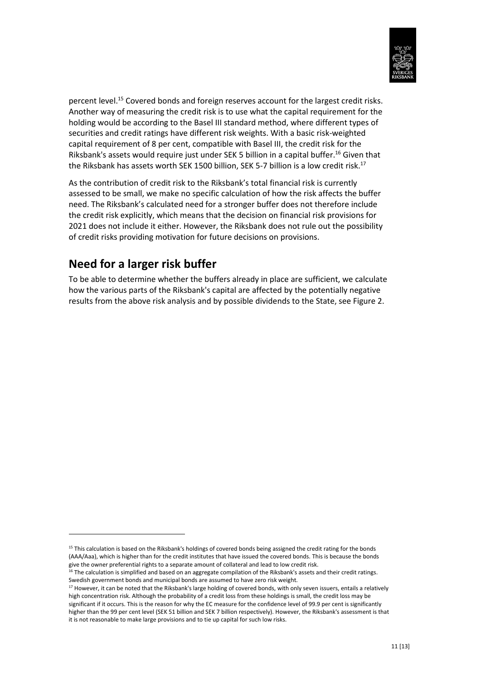

percent level.<sup>15</sup> Covered bonds and foreign reserves account for the largest credit risks. Another way of measuring the credit risk is to use what the capital requirement for the holding would be according to the Basel III standard method, where different types of securities and credit ratings have different risk weights. With a basic risk-weighted capital requirement of 8 per cent, compatible with Basel III, the credit risk for the Riksbank's assets would require just under SEK 5 billion in a capital buffer.<sup>16</sup> Given that the Riksbank has assets worth SEK 1500 billion, SEK 5-7 billion is a low credit risk.<sup>17</sup>

As the contribution of credit risk to the Riksbank's total financial risk is currently assessed to be small, we make no specific calculation of how the risk affects the buffer need. The Riksbank's calculated need for a stronger buffer does not therefore include the credit risk explicitly, which means that the decision on financial risk provisions for 2021 does not include it either. However, the Riksbank does not rule out the possibility of credit risks providing motivation for future decisions on provisions.

## **Need for a larger risk buffer**

**.** 

To be able to determine whether the buffers already in place are sufficient, we calculate how the various parts of the Riksbank's capital are affected by the potentially negative results from the above risk analysis and by possible dividends to the State, see Figure 2.

<sup>&</sup>lt;sup>15</sup> This calculation is based on the Riksbank's holdings of covered bonds being assigned the credit rating for the bonds (AAA/Aaa), which is higher than for the credit institutes that have issued the covered bonds. This is because the bonds give the owner preferential rights to a separate amount of collateral and lead to low credit risk.

 $16$  The calculation is simplified and based on an aggregate compilation of the Riksbank's assets and their credit ratings. Swedish government bonds and municipal bonds are assumed to have zero risk weight.

<sup>&</sup>lt;sup>17</sup> However, it can be noted that the Riksbank's large holding of covered bonds, with only seven issuers, entails a relatively high concentration risk. Although the probability of a credit loss from these holdings is small, the credit loss may be significant if it occurs. This is the reason for why the EC measure for the confidence level of 99.9 per cent is significantly higher than the 99 per cent level (SEK 51 billion and SEK 7 billion respectively). However, the Riksbank's assessment is that it is not reasonable to make large provisions and to tie up capital for such low risks.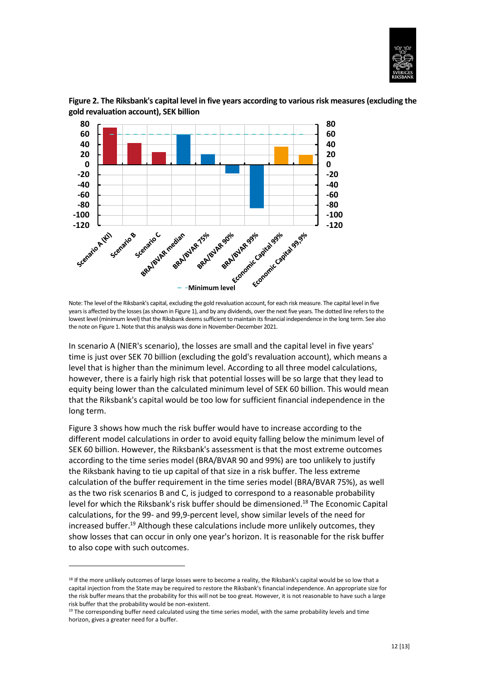



**Figure 2. The Riksbank's capital level in five years according to various risk measures (excluding the gold revaluation account), SEK billion**

In scenario A (NIER's scenario), the losses are small and the capital level in five years' time is just over SEK 70 billion (excluding the gold's revaluation account), which means a level that is higher than the minimum level. According to all three model calculations, however, there is a fairly high risk that potential losses will be so large that they lead to equity being lower than the calculated minimum level of SEK 60 billion. This would mean that the Riksbank's capital would be too low for sufficient financial independence in the long term.

Figure 3 shows how much the risk buffer would have to increase according to the different model calculations in order to avoid equity falling below the minimum level of SEK 60 billion. However, the Riksbank's assessment is that the most extreme outcomes according to the time series model (BRA/BVAR 90 and 99%) are too unlikely to justify the Riksbank having to tie up capital of that size in a risk buffer. The less extreme calculation of the buffer requirement in the time series model (BRA/BVAR 75%), as well as the two risk scenarios B and C, is judged to correspond to a reasonable probability level for which the Riksbank's risk buffer should be dimensioned.<sup>18</sup> The Economic Capital calculations, for the 99- and 99,9-percent level, show similar levels of the need for increased buffer.<sup>19</sup> Although these calculations include more unlikely outcomes, they show losses that can occur in only one year's horizon. It is reasonable for the risk buffer to also cope with such outcomes.

**.** 

Note: The level of the Riksbank's capital, excluding the gold revaluation account, for each risk measure. The capital level in five years is affected by the losses (as shown in Figure 1), and by any dividends, over the next five years. The dotted line refers to the lowest level (minimum level) that the Riksbank deems sufficient to maintain its financial independence in the long term. See also the note on Figure 1. Note that this analysis was done in November-December 2021.

 $18$  If the more unlikely outcomes of large losses were to become a reality, the Riksbank's capital would be so low that a capital injection from the State may be required to restore the Riksbank's financial independence. An appropriate size for the risk buffer means that the probability for this will not be too great. However, it is not reasonable to have such a large risk buffer that the probability would be non-existent.

<sup>&</sup>lt;sup>19</sup> The corresponding buffer need calculated using the time series model, with the same probability levels and time horizon, gives a greater need for a buffer.